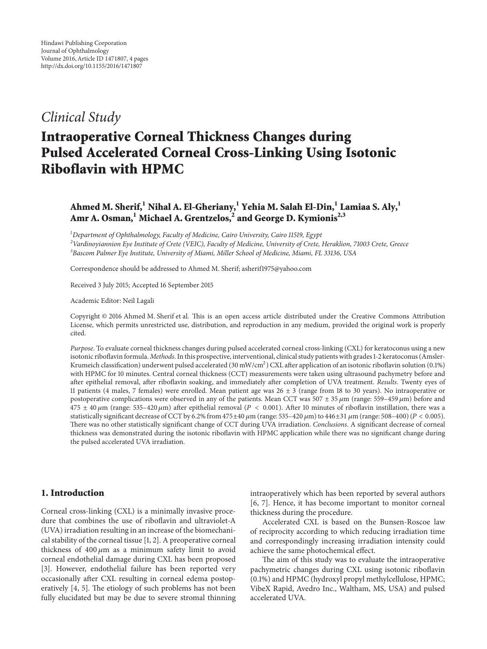# *Clinical Study*

# **Intraoperative Corneal Thickness Changes during Pulsed Accelerated Corneal Cross-Linking Using Isotonic Riboflavin with HPMC**

# Ahmed M. Sherif,<sup>1</sup> Nihal A. El-Gheriany,<sup>1</sup> Yehia M. Salah El-Din,<sup>1</sup> Lamiaa S. Aly,<sup>1</sup> **Amr A. Osman,<sup>1</sup> Michael A. Grentzelos,<sup>2</sup> and George D. Kymionis2,3**

*1 Department of Ophthalmology, Faculty of Medicine, Cairo University, Cairo 11519, Egypt*

*2 Vardinoyiannion Eye Institute of Crete (VEIC), Faculty of Medicine, University of Crete, Heraklion, 71003 Crete, Greece 3 Bascom Palmer Eye Institute, University of Miami, Miller School of Medicine, Miami, FL 33136, USA*

Correspondence should be addressed to Ahmed M. Sherif; asherif1975@yahoo.com

Received 3 July 2015; Accepted 16 September 2015

Academic Editor: Neil Lagali

Copyright © 2016 Ahmed M. Sherif et al. This is an open access article distributed under the Creative Commons Attribution License, which permits unrestricted use, distribution, and reproduction in any medium, provided the original work is properly cited.

*Purpose*. To evaluate corneal thickness changes during pulsed accelerated corneal cross-linking (CXL) for keratoconus using a new isotonic riboflavin formula. *Methods*. In this prospective, interventional, clinical study patients with grades 1-2 keratoconus (Amsler-Krumeich classification) underwent pulsed accelerated (30 mW/cm<sup>2</sup>) CXL after application of an isotonic riboflavin solution (0.1%) with HPMC for 10 minutes. Central corneal thickness (CCT) measurements were taken using ultrasound pachymetry before and after epithelial removal, after riboflavin soaking, and immediately after completion of UVA treatment. *Results*. Twenty eyes of 11 patients (4 males, 7 females) were enrolled. Mean patient age was 26 ± 3 (range from 18 to 30 years). No intraoperative or postoperative complications were observed in any of the patients. Mean CCT was  $507 \pm 35 \mu$ m (range:  $559-459 \mu$ m) before and  $475 \pm 40 \,\mu m$  (range: 535–420  $\mu$ m) after epithelial removal (P < 0.001). After 10 minutes of riboflavin instillation, there was a statistically significant decrease of CCT by 6.2% from 475±40  $\mu$ m (range: 535–420  $\mu$ m) to 446±31  $\mu$ m (range: 508–400) ( $P < 0.005$ ). There was no other statistically significant change of CCT during UVA irradiation. *Conclusions*. A significant decrease of corneal thickness was demonstrated during the isotonic riboflavin with HPMC application while there was no significant change during the pulsed accelerated UVA irradiation.

# **1. Introduction**

Corneal cross-linking (CXL) is a minimally invasive procedure that combines the use of riboflavin and ultraviolet-A (UVA) irradiation resulting in an increase of the biomechanical stability of the corneal tissue [1, 2]. A preoperative corneal thickness of  $400 \mu m$  as a minimum safety limit to avoid corneal endothelial damage during CXL has been proposed [3]. However, endothelial failure has been reported very occasionally after CXL resulting in corneal edema postoperatively [4, 5]. The etiology of such problems has not been fully elucidated but may be due to severe stromal thinning intraoperatively which has been reported by several authors [6, 7]. Hence, it has become important to monitor corneal thickness during the procedure.

Accelerated CXL is based on the Bunsen-Roscoe law of reciprocity according to which reducing irradiation time and correspondingly increasing irradiation intensity could achieve the same photochemical effect.

The aim of this study was to evaluate the intraoperative pachymetric changes during CXL using isotonic riboflavin (0.1%) and HPMC (hydroxyl propyl methylcellulose, HPMC; VibeX Rapid, Avedro Inc., Waltham, MS, USA) and pulsed accelerated UVA.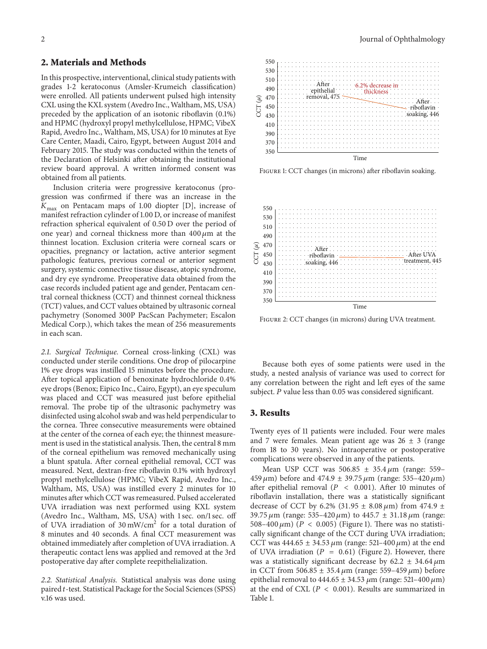#### **2. Materials and Methods**

In this prospective, interventional, clinical study patients with grades 1-2 keratoconus (Amsler-Krumeich classification) were enrolled. All patients underwent pulsed high intensity CXL using the KXL system (Avedro Inc., Waltham, MS, USA) preceded by the application of an isotonic riboflavin (0.1%) and HPMC (hydroxyl propyl methylcellulose, HPMC; VibeX Rapid, Avedro Inc., Waltham, MS, USA) for 10 minutes at Eye Care Center, Maadi, Cairo, Egypt, between August 2014 and February 2015. The study was conducted within the tenets of the Declaration of Helsinki after obtaining the institutional review board approval. A written informed consent was obtained from all patients.

Inclusion criteria were progressive keratoconus (progression was confirmed if there was an increase in the  $K_{\text{max}}$  on Pentacam maps of 1.00 diopter [D], increase of manifest refraction cylinder of 1.00 D, or increase of manifest refraction spherical equivalent of 0.50 D over the period of one year) and corneal thickness more than  $400 \mu m$  at the thinnest location. Exclusion criteria were corneal scars or opacities, pregnancy or lactation, active anterior segment pathologic features, previous corneal or anterior segment surgery, systemic connective tissue disease, atopic syndrome, and dry eye syndrome. Preoperative data obtained from the case records included patient age and gender, Pentacam central corneal thickness (CCT) and thinnest corneal thickness (TCT) values, and CCT values obtained by ultrasonic corneal pachymetry (Sonomed 300P PacScan Pachymeter; Escalon Medical Corp.), which takes the mean of 256 measurements in each scan.

*2.1. Surgical Technique.* Corneal cross-linking (CXL) was conducted under sterile conditions. One drop of pilocarpine 1% eye drops was instilled 15 minutes before the procedure. After topical application of benoxinate hydrochloride 0.4% eye drops (Benox; Eipico Inc., Cairo, Egypt), an eye speculum was placed and CCT was measured just before epithelial removal. The probe tip of the ultrasonic pachymetry was disinfected using alcohol swab and was held perpendicular to the cornea. Three consecutive measurements were obtained at the center of the cornea of each eye; the thinnest measurement is used in the statistical analysis. Then, the central 8 mm of the corneal epithelium was removed mechanically using a blunt spatula. After corneal epithelial removal, CCT was measured. Next, dextran-free riboflavin 0.1% with hydroxyl propyl methylcellulose (HPMC; VibeX Rapid, Avedro Inc., Waltham, MS, USA) was instilled every 2 minutes for 10 minutes after which CCT was remeasured. Pulsed accelerated UVA irradiation was next performed using KXL system (Avedro Inc., Waltham, MS, USA) with 1 sec. on/1 sec. off of UVA irradiation of  $30 \text{ mW/cm}^2$  for a total duration of 8 minutes and 40 seconds. A final CCT measurement was obtained immediately after completion of UVA irradiation. A therapeutic contact lens was applied and removed at the 3rd postoperative day after complete reepithelialization.

*2.2. Statistical Analysis.* Statistical analysis was done using paired t-test. Statistical Package for the Social Sciences (SPSS) v.16 was used.



Figure 1: CCT changes (in microns) after riboflavin soaking.



Figure 2: CCT changes (in microns) during UVA treatment.

Because both eyes of some patients were used in the study, a nested analysis of variance was used to correct for any correlation between the right and left eyes of the same subject. P value less than 0.05 was considered significant.

#### **3. Results**

Twenty eyes of 11 patients were included. Four were males and 7 were females. Mean patient age was  $26 \pm 3$  (range from 18 to 30 years). No intraoperative or postoperative complications were observed in any of the patients.

Mean USP CCT was  $506.85 \pm 35.4 \,\mu m$  (range: 559– 459  $\mu$ m) before and 474.9 ± 39.75  $\mu$ m (range: 535–420  $\mu$ m) after epithelial removal ( $P < 0.001$ ). After 10 minutes of riboflavin installation, there was a statistically significant decrease of CCT by 6.2% (31.95  $\pm$  8.08  $\mu$ m) from 474.9  $\pm$ 39.75  $\mu$ m (range: 535–420  $\mu$ m) to 445.7  $\pm$  31.18  $\mu$ m (range: 508–400  $\mu$ m) (P < 0.005) (Figure 1). There was no statistically significant change of the CCT during UVA irradiation; CCT was 444.65  $\pm$  34.53  $\mu$ m (range: 521-400  $\mu$ m) at the end of UVA irradiation ( $P = 0.61$ ) (Figure 2). However, there was a statistically significant decrease by 62.2  $\pm$  34.64  $\mu$ m in CCT from 506.85  $\pm$  35.4  $\mu$ m (range: 559–459  $\mu$ m) before epithelial removal to  $444.65 \pm 34.53 \,\mu$ m (range: 521–400  $\mu$ m) at the end of CXL ( $P < 0.001$ ). Results are summarized in Table 1.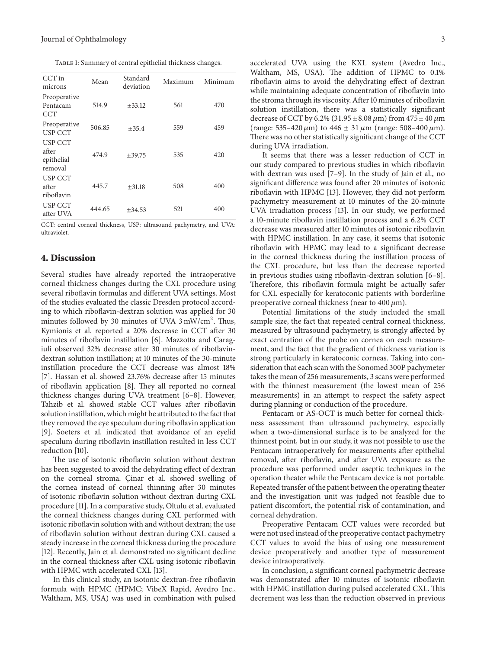TABLE 1: Summary of central epithelial thickness changes.

| CCT in<br>microns                                | Mean   | Standard<br>deviation | Maximum | Minimum |
|--------------------------------------------------|--------|-----------------------|---------|---------|
| Preoperative<br>Pentacam<br><b>CCT</b>           | 514.9  | $\pm 33.12$           | 561     | 470     |
| Preoperative<br><b>USP CCT</b>                   | 506.85 | $+35.4$               | 559     | 459     |
| <b>USP CCT</b><br>after<br>epithelial<br>removal | 474.9  | $+39.75$              | 535     | 420     |
| <b>USP CCT</b><br>after<br>riboflavin            | 445.7  | $+31.18$              | 508     | 400     |
| <b>USP CCT</b><br>after UVA                      | 444.65 | $+34.53$              | 521     | 400     |

CCT: central corneal thickness, USP: ultrasound pachymetry, and UVA: ultraviolet.

# **4. Discussion**

Several studies have already reported the intraoperative corneal thickness changes during the CXL procedure using several riboflavin formulas and different UVA settings. Most of the studies evaluated the classic Dresden protocol according to which riboflavin-dextran solution was applied for 30 minutes followed by 30 minutes of UVA 3 mW/cm<sup>2</sup>. Thus, Kymionis et al. reported a 20% decrease in CCT after 30 minutes of riboflavin instillation [6]. Mazzotta and Caragiuli observed 32% decrease after 30 minutes of riboflavindextran solution instillation; at 10 minutes of the 30-minute instillation procedure the CCT decrease was almost 18% [7]. Hassan et al. showed 23.76% decrease after 15 minutes of riboflavin application [8]. They all reported no corneal thickness changes during UVA treatment [6–8]. However, Tahzib et al. showed stable CCT values after riboflavin solution instillation, which might be attributed to the fact that they removed the eye speculum during riboflavin application [9]. Soeters et al. indicated that avoidance of an eyelid speculum during riboflavin instillation resulted in less CCT reduction [10].

The use of isotonic riboflavin solution without dextran has been suggested to avoid the dehydrating effect of dextran on the corneal stroma. Çinar et al. showed swelling of the cornea instead of corneal thinning after 30 minutes of isotonic riboflavin solution without dextran during CXL procedure [11]. In a comparative study, Oltulu et al. evaluated the corneal thickness changes during CXL performed with isotonic riboflavin solution with and without dextran; the use of riboflavin solution without dextran during CXL caused a steady increase in the corneal thickness during the procedure [12]. Recently, Jain et al. demonstrated no significant decline in the corneal thickness after CXL using isotonic riboflavin with HPMC with accelerated CXL [13].

In this clinical study, an isotonic dextran-free riboflavin formula with HPMC (HPMC; VibeX Rapid, Avedro Inc., Waltham, MS, USA) was used in combination with pulsed accelerated UVA using the KXL system (Avedro Inc., Waltham, MS, USA). The addition of HPMC to 0.1% riboflavin aims to avoid the dehydrating effect of dextran while maintaining adequate concentration of riboflavin into the stroma through its viscosity. After 10 minutes of riboflavin solution instillation, there was a statistically significant decrease of CCT by 6.2% (31.95  $\pm$  8.08  $\mu$ m) from 475  $\pm$  40  $\mu$ m (range: 535–420  $\mu$ m) to 446  $\pm$  31  $\mu$ m (range: 508–400  $\mu$ m). There was no other statistically significant change of the CCT during UVA irradiation.

It seems that there was a lesser reduction of CCT in our study compared to previous studies in which riboflavin with dextran was used [7–9]. In the study of Jain et al., no significant difference was found after 20 minutes of isotonic riboflavin with HPMC [13]. However, they did not perform pachymetry measurement at 10 minutes of the 20-minute UVA irradiation process [13]. In our study, we performed a 10-minute riboflavin instillation process and a 6.2% CCT decrease was measured after 10 minutes of isotonic riboflavin with HPMC instillation. In any case, it seems that isotonic riboflavin with HPMC may lead to a significant decrease in the corneal thickness during the instillation process of the CXL procedure, but less than the decrease reported in previous studies using riboflavin-dextran solution [6–8]. Therefore, this riboflavin formula might be actually safer for CXL especially for keratoconic patients with borderline preoperative corneal thickness (near to  $400 \mu m$ ).

Potential limitations of the study included the small sample size, the fact that repeated central corneal thickness, measured by ultrasound pachymetry, is strongly affected by exact centration of the probe on cornea on each measurement, and the fact that the gradient of thickness variation is strong particularly in keratoconic corneas. Taking into consideration that each scan with the Sonomed 300P pachymeter takes the mean of 256 measurements, 3 scans were performed with the thinnest measurement (the lowest mean of 256 measurements) in an attempt to respect the safety aspect during planning or conduction of the procedure.

Pentacam or AS-OCT is much better for corneal thickness assessment than ultrasound pachymetry, especially when a two-dimensional surface is to be analyzed for the thinnest point, but in our study, it was not possible to use the Pentacam intraoperatively for measurements after epithelial removal, after riboflavin, and after UVA exposure as the procedure was performed under aseptic techniques in the operation theater while the Pentacam device is not portable. Repeated transfer of the patient between the operating theater and the investigation unit was judged not feasible due to patient discomfort, the potential risk of contamination, and corneal dehydration.

Preoperative Pentacam CCT values were recorded but were not used instead of the preoperative contact pachymetry CCT values to avoid the bias of using one measurement device preoperatively and another type of measurement device intraoperatively.

In conclusion, a significant corneal pachymetric decrease was demonstrated after 10 minutes of isotonic riboflavin with HPMC instillation during pulsed accelerated CXL. This decrement was less than the reduction observed in previous